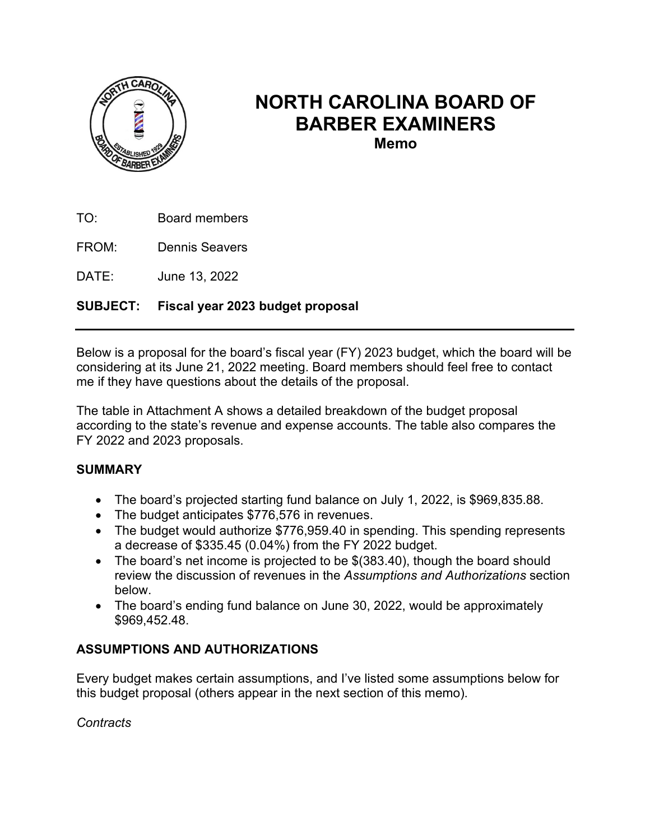

# **NORTH CAROLINA BOARD OF BARBER EXAMINERS**

**Memo**

TO: Board members

FROM: Dennis Seavers

DATE: June 13, 2022

## **SUBJECT: Fiscal year 2023 budget proposal**

Below is a proposal for the board's fiscal year (FY) 2023 budget, which the board will be considering at its June 21, 2022 meeting. Board members should feel free to contact me if they have questions about the details of the proposal.

The table in Attachment A shows a detailed breakdown of the budget proposal according to the state's revenue and expense accounts. The table also compares the FY 2022 and 2023 proposals.

#### **SUMMARY**

- The board's projected starting fund balance on July 1, 2022, is \$969,835.88.
- The budget anticipates \$776,576 in revenues.
- The budget would authorize \$776,959.40 in spending. This spending represents a decrease of \$335.45 (0.04%) from the FY 2022 budget.
- The board's net income is projected to be \$(383.40), though the board should review the discussion of revenues in the *Assumptions and Authorizations* section below.
- The board's ending fund balance on June 30, 2022, would be approximately \$969,452.48.

#### **ASSUMPTIONS AND AUTHORIZATIONS**

Every budget makes certain assumptions, and I've listed some assumptions below for this budget proposal (others appear in the next section of this memo).

*Contracts*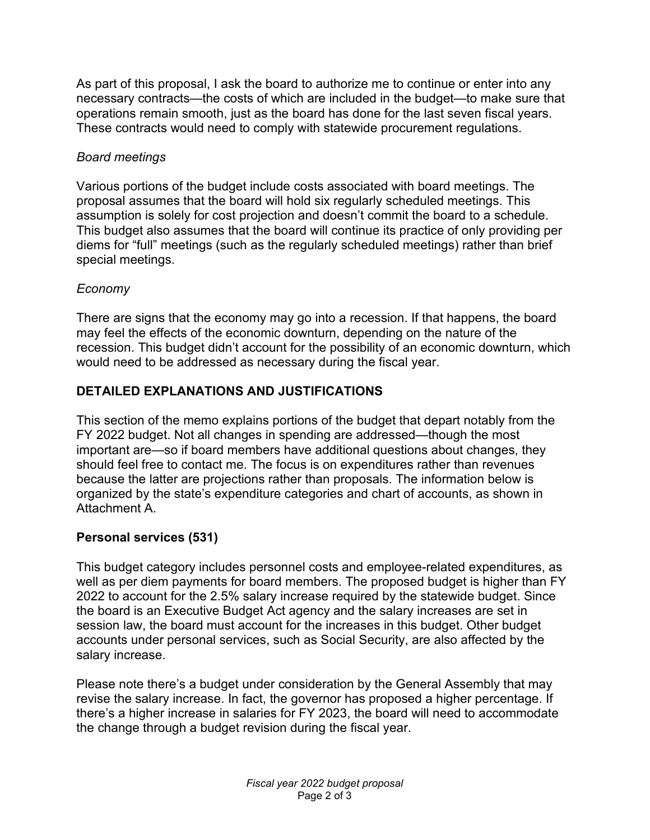As part of this proposal, I ask the board to authorize me to continue or enter into any necessary contracts—the costs of which are included in the budget—to make sure that operations remain smooth, just as the board has done for the last seven fiscal years. These contracts would need to comply with statewide procurement regulations.

## *Board meetings*

Various portions of the budget include costs associated with board meetings. The proposal assumes that the board will hold six regularly scheduled meetings. This assumption is solely for cost projection and doesn't commit the board to a schedule. This budget also assumes that the board will continue its practice of only providing per diems for "full" meetings (such as the regularly scheduled meetings) rather than brief special meetings.

# *Economy*

There are signs that the economy may go into a recession. If that happens, the board may feel the effects of the economic downturn, depending on the nature of the recession. This budget didn't account for the possibility of an economic downturn, which would need to be addressed as necessary during the fiscal year.

# **DETAILED EXPLANATIONS AND JUSTIFICATIONS**

This section of the memo explains portions of the budget that depart notably from the FY 2022 budget. Not all changes in spending are addressed—though the most important are—so if board members have additional questions about changes, they should feel free to contact me. The focus is on expenditures rather than revenues because the latter are projections rather than proposals. The information below is organized by the state's expenditure categories and chart of accounts, as shown in Attachment A.

# **Personal services (531)**

This budget category includes personnel costs and employee-related expenditures, as well as per diem payments for board members. The proposed budget is higher than FY 2022 to account for the 2.5% salary increase required by the statewide budget. Since the board is an Executive Budget Act agency and the salary increases are set in session law, the board must account for the increases in this budget. Other budget accounts under personal services, such as Social Security, are also affected by the salary increase.

Please note there's a budget under consideration by the General Assembly that may revise the salary increase. In fact, the governor has proposed a higher percentage. If there's a higher increase in salaries for FY 2023, the board will need to accommodate the change through a budget revision during the fiscal year.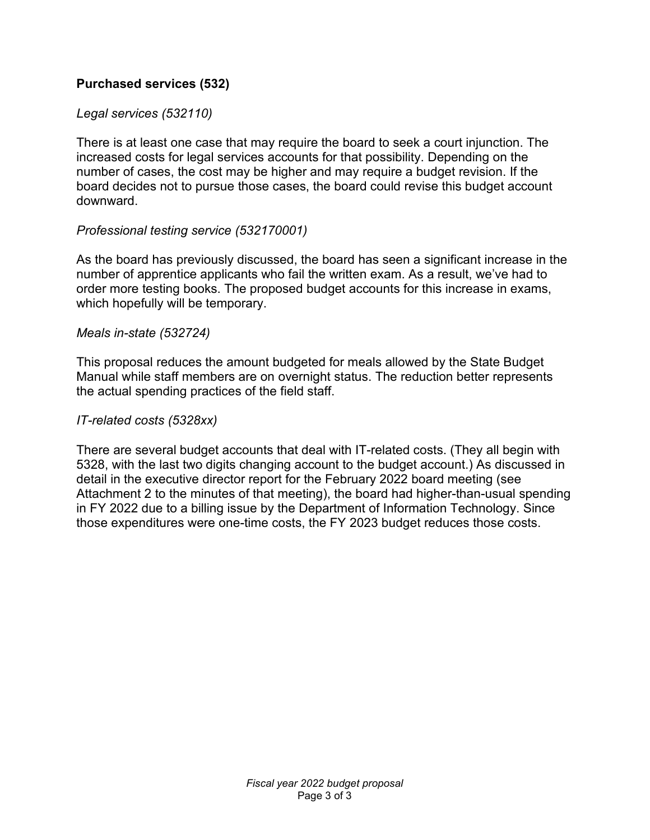#### **Purchased services (532)**

#### *Legal services (532110)*

There is at least one case that may require the board to seek a court injunction. The increased costs for legal services accounts for that possibility. Depending on the number of cases, the cost may be higher and may require a budget revision. If the board decides not to pursue those cases, the board could revise this budget account downward.

#### *Professional testing service (532170001)*

As the board has previously discussed, the board has seen a significant increase in the number of apprentice applicants who fail the written exam. As a result, we've had to order more testing books. The proposed budget accounts for this increase in exams, which hopefully will be temporary.

#### *Meals in-state (532724)*

This proposal reduces the amount budgeted for meals allowed by the State Budget Manual while staff members are on overnight status. The reduction better represents the actual spending practices of the field staff.

#### *IT-related costs (5328xx)*

There are several budget accounts that deal with IT-related costs. (They all begin with 5328, with the last two digits changing account to the budget account.) As discussed in detail in the executive director report for the February 2022 board meeting (see Attachment 2 to the minutes of that meeting), the board had higher-than-usual spending in FY 2022 due to a billing issue by the Department of Information Technology. Since those expenditures were one-time costs, the FY 2023 budget reduces those costs.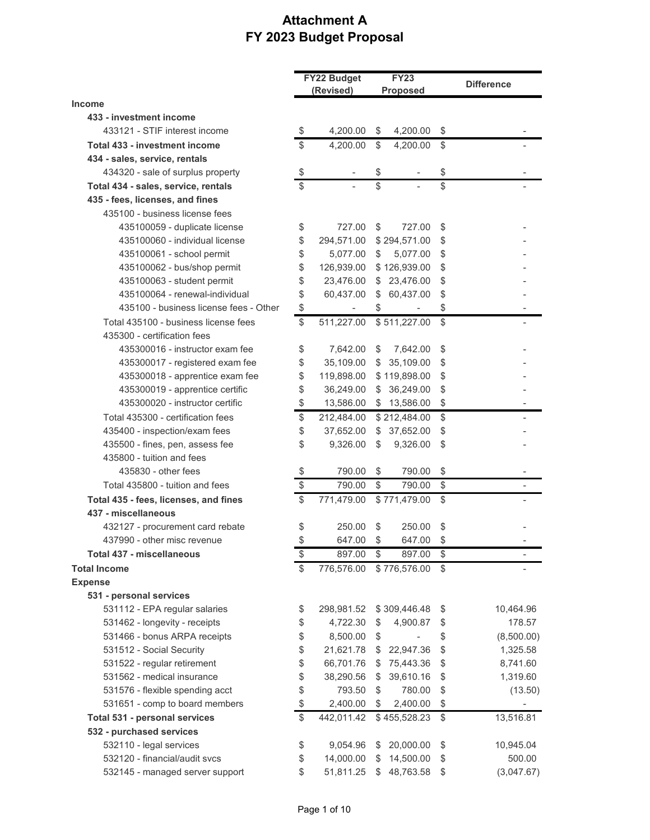# **Attachment A FY 2023 Budget Proposal**

|                                        |    | FY22 Budget              |              | <b>FY23</b>              |    | <b>Difference</b> |  |
|----------------------------------------|----|--------------------------|--------------|--------------------------|----|-------------------|--|
| <b>Income</b>                          |    | (Revised)                |              | <b>Proposed</b>          |    |                   |  |
| 433 - investment income                |    |                          |              |                          |    |                   |  |
| 433121 - STIF interest income          | \$ | 4,200.00                 | - \$         | 4,200.00                 | \$ |                   |  |
| Total 433 - investment income          | \$ | 4,200.00                 | \$           | 4,200.00                 | \$ |                   |  |
| 434 - sales, service, rentals          |    |                          |              |                          |    |                   |  |
| 434320 - sale of surplus property      | \$ |                          | \$           |                          | \$ |                   |  |
| Total 434 - sales, service, rentals    | \$ |                          | \$           |                          | \$ |                   |  |
| 435 - fees, licenses, and fines        |    |                          |              |                          |    |                   |  |
| 435100 - business license fees         |    |                          |              |                          |    |                   |  |
| 435100059 - duplicate license          | \$ | 727.00                   | \$           | 727.00                   | \$ |                   |  |
| 435100060 - individual license         | \$ | 294,571.00               |              | \$294,571.00             | \$ |                   |  |
| 435100061 - school permit              | \$ | 5,077.00                 | \$           | 5,077.00                 | \$ |                   |  |
| 435100062 - bus/shop permit            | \$ | 126,939.00               |              | \$126,939.00             | \$ |                   |  |
| 435100063 - student permit             | \$ | 23,476.00                | S.           | 23,476.00                | \$ |                   |  |
| 435100064 - renewal-individual         | \$ | 60,437.00                | $\mathbb{S}$ | 60,437.00                | \$ |                   |  |
| 435100 - business license fees - Other | \$ | $\overline{\phantom{a}}$ | \$           | $\overline{\phantom{a}}$ | \$ |                   |  |
| Total 435100 - business license fees   | \$ | 511,227.00               |              | \$511,227.00             | \$ |                   |  |
| 435300 - certification fees            |    |                          |              |                          |    |                   |  |
| 435300016 - instructor exam fee        |    |                          | \$           |                          | \$ |                   |  |
| 435300017 - registered exam fee        | \$ | 7,642.00                 | $\mathbb{S}$ | 7,642.00<br>35,109.00    | \$ |                   |  |
|                                        | \$ | 35,109.00                |              |                          | \$ |                   |  |
| 435300018 - apprentice exam fee        | \$ | 119,898.00               |              | \$119,898.00             |    |                   |  |
| 435300019 - apprentice certific        | \$ | 36,249.00                | $\mathbb{S}$ | 36,249.00                | \$ |                   |  |
| 435300020 - instructor certific        | \$ | 13,586.00                |              | \$13,586.00              | \$ |                   |  |
| Total 435300 - certification fees      | \$ | 212,484.00               |              | \$212,484.00             | \$ |                   |  |
| 435400 - inspection/exam fees          | \$ | 37,652.00                |              | \$37,652.00              | \$ |                   |  |
| 435500 - fines, pen, assess fee        | \$ | 9,326.00                 | \$           | 9,326.00                 | \$ |                   |  |
| 435800 - tuition and fees              |    |                          |              |                          |    |                   |  |
| 435830 - other fees                    | \$ | 790.00                   | \$           | 790.00                   | \$ |                   |  |
| Total 435800 - tuition and fees        | \$ | 790.00                   | \$           | 790.00                   | \$ |                   |  |
| Total 435 - fees, licenses, and fines  | \$ | 771,479.00               |              | \$771,479.00             | \$ |                   |  |
| 437 - miscellaneous                    |    |                          |              |                          |    |                   |  |
| 432127 - procurement card rebate       | \$ | 250.00                   | \$           | 250.00                   | \$ |                   |  |
| 437990 - other misc revenue            | \$ | 647.00                   | \$           | 647.00                   | \$ |                   |  |
| Total 437 - miscellaneous              | \$ | 897.00                   | \$           | 897.00                   | \$ |                   |  |
| <b>Total Income</b>                    | \$ | 776,576.00               |              | \$776,576.00             | \$ |                   |  |
| <b>Expense</b>                         |    |                          |              |                          |    |                   |  |
| 531 - personal services                |    |                          |              |                          |    |                   |  |
| 531112 - EPA regular salaries          | \$ | 298,981.52               |              | \$309,446.48             | \$ | 10,464.96         |  |
| 531462 - longevity - receipts          | \$ | 4,722.30                 | \$           | 4,900.87                 | \$ | 178.57            |  |
| 531466 - bonus ARPA receipts           | \$ | 8,500.00                 | \$           |                          | \$ | (8,500.00)        |  |
| 531512 - Social Security               | \$ | 21,621.78                | \$           | 22,947.36                | \$ | 1,325.58          |  |
| 531522 - regular retirement            | \$ | 66,701.76                | S.           | 75,443.36                | \$ | 8,741.60          |  |
| 531562 - medical insurance             | \$ | 38,290.56                | \$           | 39,610.16                | \$ | 1,319.60          |  |
| 531576 - flexible spending acct        | \$ | 793.50                   | \$           | 780.00                   | \$ | (13.50)           |  |
| 531651 - comp to board members         | \$ | 2,400.00                 | \$           | 2,400.00                 | \$ |                   |  |
| Total 531 - personal services          | \$ | 442,011.42               |              | \$455,528.23             | \$ | 13,516.81         |  |
| 532 - purchased services               |    |                          |              |                          |    |                   |  |
| 532110 - legal services                | \$ | 9,054.96                 | S            | 20,000.00                | \$ | 10,945.04         |  |
| 532120 - financial/audit svcs          | \$ | 14,000.00                | S            | 14,500.00                | \$ | 500.00            |  |
| 532145 - managed server support        | \$ | 51,811.25                | $\mathbb{S}$ | 48,763.58                | \$ | (3,047.67)        |  |